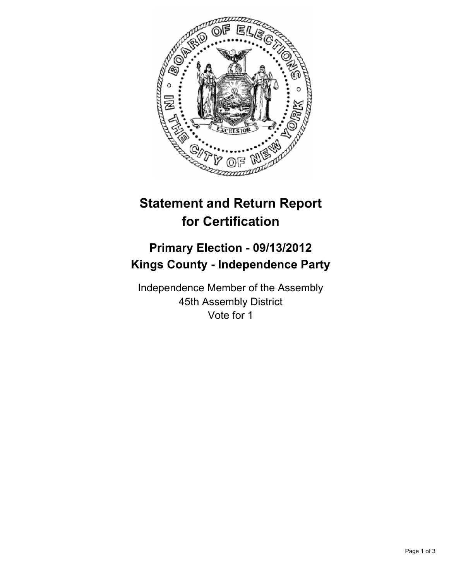

## **Statement and Return Report for Certification**

## **Primary Election - 09/13/2012 Kings County - Independence Party**

Independence Member of the Assembly 45th Assembly District Vote for 1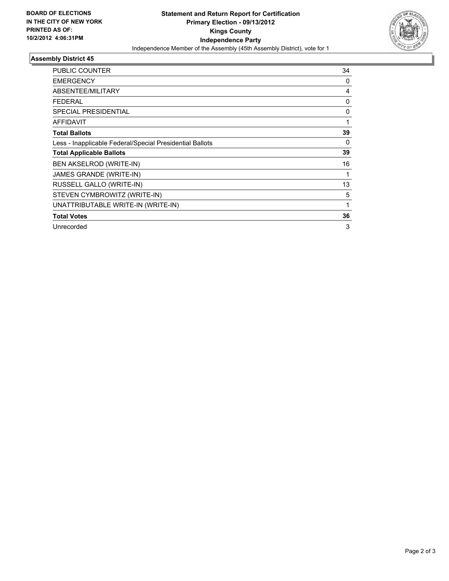

## **Assembly District 45**

| <b>PUBLIC COUNTER</b>                                    | 34       |
|----------------------------------------------------------|----------|
| <b>EMERGENCY</b>                                         | 0        |
| ABSENTEE/MILITARY                                        | 4        |
| FEDERAL                                                  | 0        |
| <b>SPECIAL PRESIDENTIAL</b>                              | 0        |
| <b>AFFIDAVIT</b>                                         | 1        |
| <b>Total Ballots</b>                                     | 39       |
| Less - Inapplicable Federal/Special Presidential Ballots | $\Omega$ |
| <b>Total Applicable Ballots</b>                          | 39       |
| BEN AKSELROD (WRITE-IN)                                  | 16       |
| JAMES GRANDE (WRITE-IN)                                  | 1        |
| RUSSELL GALLO (WRITE-IN)                                 | 13       |
| STEVEN CYMBROWITZ (WRITE-IN)                             | 5        |
| UNATTRIBUTABLE WRITE-IN (WRITE-IN)                       | 1        |
| <b>Total Votes</b>                                       | 36       |
| Unrecorded                                               | 3        |